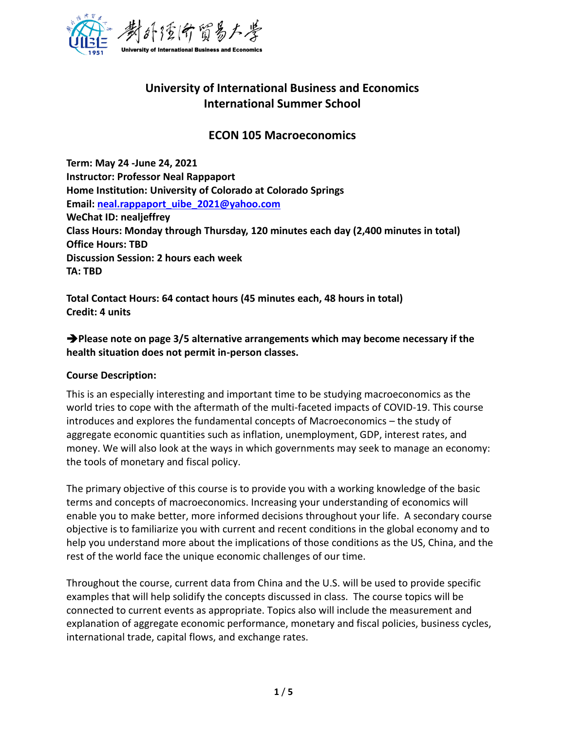

# **University of International Business and Economics International Summer School**

# **ECON 105 Macroeconomics**

**Term: May 24 -June 24, 2021 Instructor: Professor Neal Rappaport Home Institution: University of Colorado at Colorado Springs Email: [neal.rappaport\\_uibe\\_2021@yahoo.com](mailto:neal.rappaport_uibe_2021@yahoo.com) WeChat ID: nealjeffrey Class Hours: Monday through Thursday, 120 minutes each day (2,400 minutes in total) Office Hours: TBD Discussion Session: 2 hours each week TA: TBD**

**Total Contact Hours: 64 contact hours (45 minutes each, 48 hours in total) Credit: 4 units**

➔**Please note on page 3/5 alternative arrangements which may become necessary if the health situation does not permit in-person classes.**

#### **Course Description:**

This is an especially interesting and important time to be studying macroeconomics as the world tries to cope with the aftermath of the multi-faceted impacts of COVID-19. This course introduces and explores the fundamental concepts of Macroeconomics – the study of aggregate economic quantities such as inflation, unemployment, GDP, interest rates, and money. We will also look at the ways in which governments may seek to manage an economy: the tools of monetary and fiscal policy.

The primary objective of this course is to provide you with a working knowledge of the basic terms and concepts of macroeconomics. Increasing your understanding of economics will enable you to make better, more informed decisions throughout your life. A secondary course objective is to familiarize you with current and recent conditions in the global economy and to help you understand more about the implications of those conditions as the US, China, and the rest of the world face the unique economic challenges of our time.

Throughout the course, current data from China and the U.S. will be used to provide specific examples that will help solidify the concepts discussed in class. The course topics will be connected to current events as appropriate. Topics also will include the measurement and explanation of aggregate economic performance, monetary and fiscal policies, business cycles, international trade, capital flows, and exchange rates.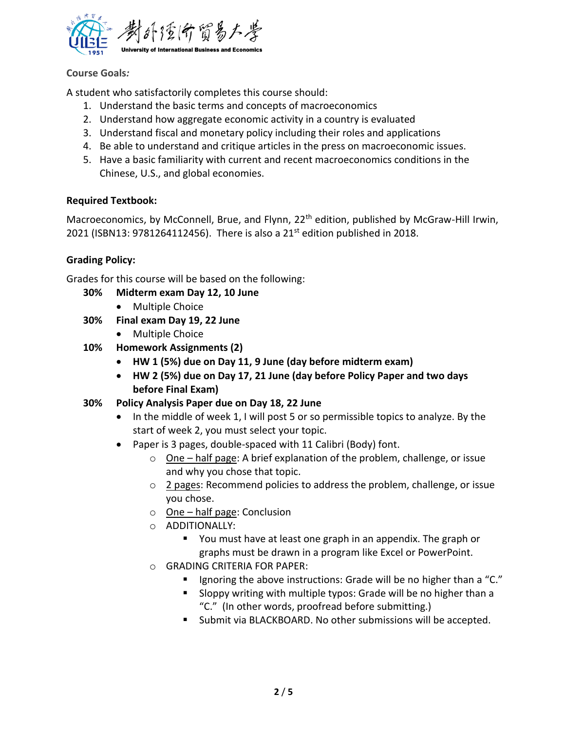

# **Course Goals***:*

A student who satisfactorily completes this course should:

- 1. Understand the basic terms and concepts of macroeconomics
- 2. Understand how aggregate economic activity in a country is evaluated
- 3. Understand fiscal and monetary policy including their roles and applications
- 4. Be able to understand and critique articles in the press on macroeconomic issues.
- 5. Have a basic familiarity with current and recent macroeconomics conditions in the Chinese, U.S., and global economies.

# **Required Textbook:**

Macroeconomics, by McConnell, Brue, and Flynn, 22<sup>th</sup> edition, published by McGraw-Hill Irwin, 2021 (ISBN13: 9781264112456). There is also a 21<sup>st</sup> edition published in 2018.

# **Grading Policy:**

Grades for this course will be based on the following:

- **30% Midterm exam Day 12, 10 June**
	- Multiple Choice
- **30% Final exam Day 19, 22 June**
	- Multiple Choice
- **10% Homework Assignments (2)**
	- **HW 1 (5%) due on Day 11, 9 June (day before midterm exam)**
	- **HW 2 (5%) due on Day 17, 21 June (day before Policy Paper and two days before Final Exam)**
- **30% Policy Analysis Paper due on Day 18, 22 June**
	- In the middle of week 1, I will post 5 or so permissible topics to analyze. By the start of week 2, you must select your topic.
	- Paper is 3 pages, double-spaced with 11 Calibri (Body) font.
		- $\circ$  One half page: A brief explanation of the problem, challenge, or issue and why you chose that topic.
		- $\circ$  2 pages: Recommend policies to address the problem, challenge, or issue you chose.
		- o One half page: Conclusion
		- o ADDITIONALLY:
			- You must have at least one graph in an appendix. The graph or graphs must be drawn in a program like Excel or PowerPoint.
		- o GRADING CRITERIA FOR PAPER:
			- Ignoring the above instructions: Grade will be no higher than a "C."
			- Sloppy writing with multiple typos: Grade will be no higher than a "C." (In other words, proofread before submitting.)
			- Submit via BLACKBOARD. No other submissions will be accepted.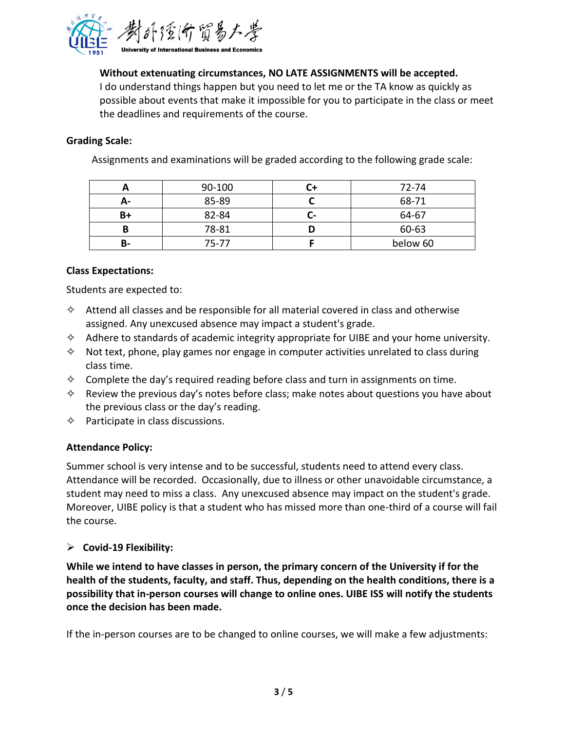

# **Without extenuating circumstances, NO LATE ASSIGNMENTS will be accepted.**

I do understand things happen but you need to let me or the TA know as quickly as possible about events that make it impossible for you to participate in the class or meet the deadlines and requirements of the course.

#### **Grading Scale:**

Assignments and examinations will be graded according to the following grade scale:

|    | 90-100 |                          | 72-74    |
|----|--------|--------------------------|----------|
| А- | 85-89  |                          | 68-71    |
| B+ | 82-84  | $\overline{\phantom{a}}$ | 64-67    |
|    | 78-81  |                          | 60-63    |
| в- | 75-77  |                          | below 60 |

#### **Class Expectations:**

Students are expected to:

- $\diamond$  Attend all classes and be responsible for all material covered in class and otherwise assigned. Any unexcused absence may impact a student's grade.
- $\diamond$  Adhere to standards of academic integrity appropriate for UIBE and your home university.
- $\diamond$  Not text, phone, play games nor engage in computer activities unrelated to class during class time.
- $\diamond$  Complete the day's required reading before class and turn in assignments on time.
- $\diamond$  Review the previous day's notes before class; make notes about questions you have about the previous class or the day's reading.
- $\diamond$  Participate in class discussions.

#### **Attendance Policy:**

Summer school is very intense and to be successful, students need to attend every class. Attendance will be recorded. Occasionally, due to illness or other unavoidable circumstance, a student may need to miss a class. Any unexcused absence may impact on the student's grade. Moreover, UIBE policy is that a student who has missed more than one-third of a course will fail the course.

#### ➢ **Covid-19 Flexibility:**

**While we intend to have classes in person, the primary concern of the University if for the health of the students, faculty, and staff. Thus, depending on the health conditions, there is a possibility that in-person courses will change to online ones. UIBE ISS will notify the students once the decision has been made.**

If the in-person courses are to be changed to online courses, we will make a few adjustments: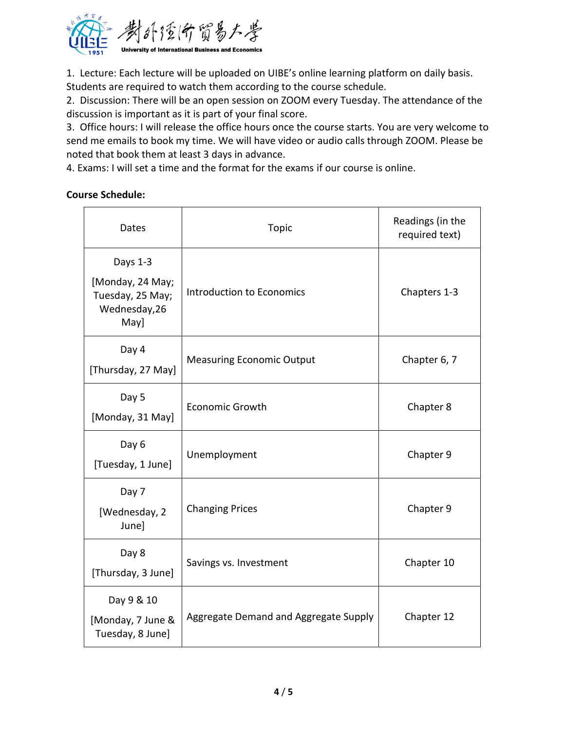

1. Lecture: Each lecture will be uploaded on UIBE's online learning platform on daily basis. Students are required to watch them according to the course schedule.

2. Discussion: There will be an open session on ZOOM every Tuesday. The attendance of the discussion is important as it is part of your final score.

3. Office hours: I will release the office hours once the course starts. You are very welcome to send me emails to book my time. We will have video or audio calls through ZOOM. Please be noted that book them at least 3 days in advance.

4. Exams: I will set a time and the format for the exams if our course is online.

# **Course Schedule:**

| Dates                                                                     | <b>Topic</b>                          | Readings (in the<br>required text) |
|---------------------------------------------------------------------------|---------------------------------------|------------------------------------|
| Days 1-3<br>[Monday, 24 May;<br>Tuesday, 25 May;<br>Wednesday, 26<br>May] | Introduction to Economics             | Chapters 1-3                       |
| Day 4<br>[Thursday, 27 May]                                               | <b>Measuring Economic Output</b>      | Chapter 6, 7                       |
| Day 5<br>[Monday, 31 May]                                                 | <b>Economic Growth</b>                | Chapter 8                          |
| Day 6<br>[Tuesday, 1 June]                                                | Unemployment                          | Chapter 9                          |
| Day 7<br>[Wednesday, 2<br>June]                                           | <b>Changing Prices</b>                | Chapter 9                          |
| Day 8<br>[Thursday, 3 June]                                               | Savings vs. Investment                | Chapter 10                         |
| Day 9 & 10<br>[Monday, 7 June &<br>Tuesday, 8 June]                       | Aggregate Demand and Aggregate Supply | Chapter 12                         |